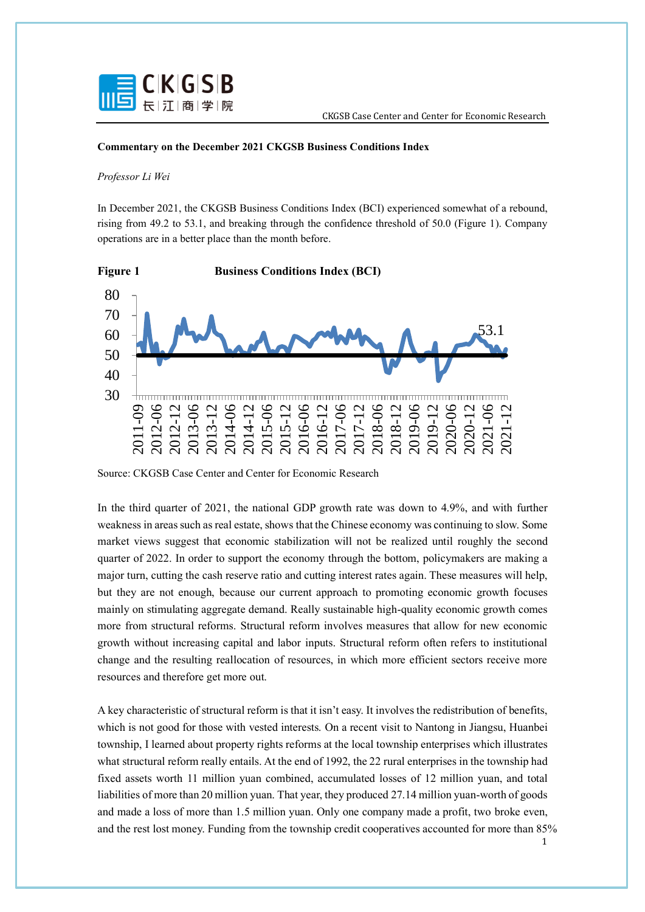

## **Commentary on the December 2021 CKGSB Business Conditions Index**

## *Professor Li Wei*

In December 2021, the CKGSB Business Conditions Index (BCI) experienced somewhat of a rebound, rising from 49.2 to 53.1, and breaking through the confidence threshold of 50.0 (Figure 1). Company operations are in a better place than the month before.



Source: CKGSB Case Center and Center for Economic Research

In the third quarter of 2021, the national GDP growth rate was down to 4.9%, and with further weakness in areas such as real estate, shows that the Chinese economy was continuing to slow. Some market views suggest that economic stabilization will not be realized until roughly the second quarter of 2022. In order to support the economy through the bottom, policymakers are making a major turn, cutting the cash reserve ratio and cutting interest rates again. These measures will help, but they are not enough, because our current approach to promoting economic growth focuses mainly on stimulating aggregate demand. Really sustainable high-quality economic growth comes more from structural reforms. Structural reform involves measures that allow for new economic growth without increasing capital and labor inputs. Structural reform often refers to institutional change and the resulting reallocation of resources, in which more efficient sectors receive more resources and therefore get more out.

A key characteristic of structural reform is that it isn't easy. It involves the redistribution of benefits, which is not good for those with vested interests. On a recent visit to Nantong in Jiangsu, Huanbei township, I learned about property rights reforms at the local township enterprises which illustrates what structural reform really entails. At the end of 1992, the 22 rural enterprises in the township had fixed assets worth 11 million yuan combined, accumulated losses of 12 million yuan, and total liabilities of more than 20 million yuan. That year, they produced 27.14 million yuan-worth of goods and made a loss of more than 1.5 million yuan. Only one company made a profit, two broke even, and the rest lost money. Funding from the township credit cooperatives accounted for more than 85%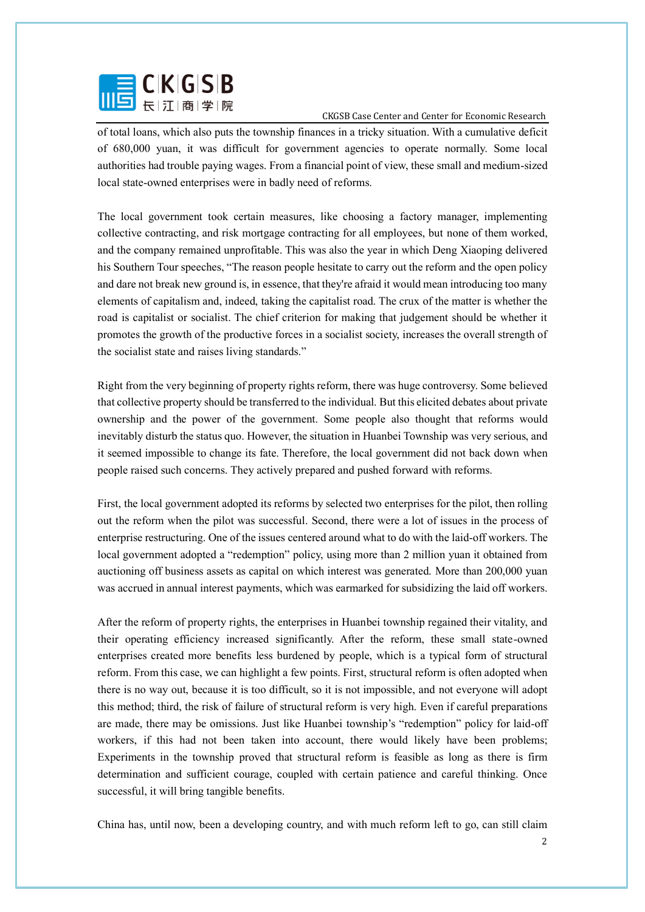

of total loans, which also puts the township finances in a tricky situation. With a cumulative deficit of 680,000 yuan, it was difficult for government agencies to operate normally. Some local authorities had trouble paying wages. From a financial point of view, these small and medium-sized local state-owned enterprises were in badly need of reforms.

The local government took certain measures, like choosing a factory manager, implementing collective contracting, and risk mortgage contracting for all employees, but none of them worked, and the company remained unprofitable. This was also the year in which Deng Xiaoping delivered his Southern Tour speeches, "The reason people hesitate to carry out the reform and the open policy and dare not break new ground is, in essence, that they're afraid it would mean introducing too many elements of capitalism and, indeed, taking the capitalist road. The crux of the matter is whether the road is capitalist or socialist. The chief criterion for making that judgement should be whether it promotes the growth of the productive forces in a socialist society, increases the overall strength of the socialist state and raises living standards."

Right from the very beginning of property rights reform, there was huge controversy. Some believed that collective property should be transferred to the individual. But this elicited debates about private ownership and the power of the government. Some people also thought that reforms would inevitably disturb the status quo. However, the situation in Huanbei Township was very serious, and it seemed impossible to change its fate. Therefore, the local government did not back down when people raised such concerns. They actively prepared and pushed forward with reforms.

First, the local government adopted its reforms by selected two enterprises for the pilot, then rolling out the reform when the pilot was successful. Second, there were a lot of issues in the process of enterprise restructuring. One of the issues centered around what to do with the laid-off workers. The local government adopted a "redemption" policy, using more than 2 million yuan it obtained from auctioning off business assets as capital on which interest was generated. More than 200,000 yuan was accrued in annual interest payments, which was earmarked for subsidizing the laid off workers.

After the reform of property rights, the enterprises in Huanbei township regained their vitality, and their operating efficiency increased significantly. After the reform, these small state-owned enterprises created more benefits less burdened by people, which is a typical form of structural reform. From this case, we can highlight a few points. First, structural reform is often adopted when there is no way out, because it is too difficult, so it is not impossible, and not everyone will adopt this method; third, the risk of failure of structural reform is very high. Even if careful preparations are made, there may be omissions. Just like Huanbei township's "redemption" policy for laid-off workers, if this had not been taken into account, there would likely have been problems; Experiments in the township proved that structural reform is feasible as long as there is firm determination and sufficient courage, coupled with certain patience and careful thinking. Once successful, it will bring tangible benefits.

China has, until now, been a developing country, and with much reform left to go, can still claim